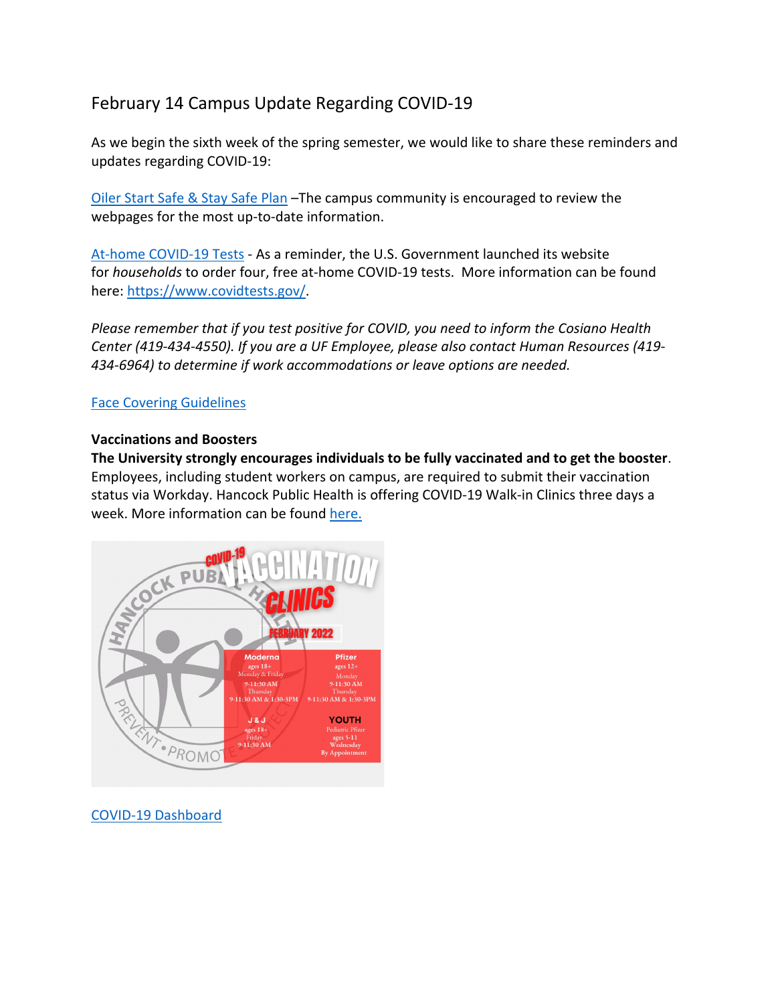# February 14 Campus Update Regarding COVID-19

As we begin the sixth week of the spring semester, we would like to share these reminders and updates regarding COVID-19:

Oiler Start Safe & Stay Safe Plan –The campus community is encouraged to review the webpages for the most up-to-date information.

At-home COVID-19 Tests - As a reminder, the U.S. Government launched its website for *households* to order four, free at-home COVID-19 tests. More information can be found here: https://www.covidtests.gov/.

*Please remember that if you test positive for COVID, you need to inform the Cosiano Health Center (419-434-4550). If you are a UF Employee, please also contact Human Resources (419- 434-6964) to determine if work accommodations or leave options are needed.*

### Face Covering Guidelines

#### **Vaccinations and Boosters**

**The University strongly encourages individuals to be fully vaccinated and to get the booster**. Employees, including student workers on campus, are required to submit their vaccination status via Workday. Hancock Public Health is offering COVID-19 Walk-in Clinics three days a week. More information can be found here.



COVID-19 Dashboard